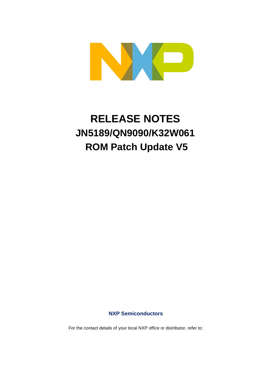

# **RELEASE NOTES JN5189/QN9090/K32W061 ROM Patch Update V5**

#### **NXP Semiconductors**

For the contact details of your local NXP office or distributor, refer to: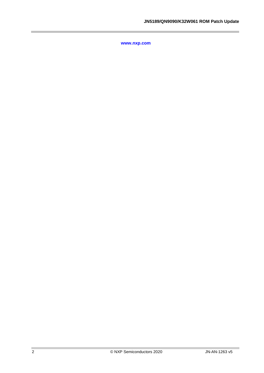**[www.nxp.com](http://www.nxp.com/)**

i.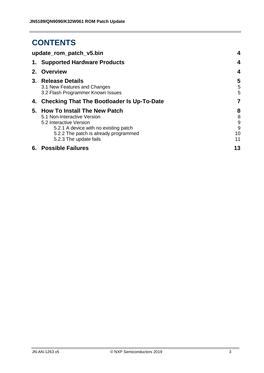## **CONTENTS**

| update_rom_patch_v5.bin                                                                                                                                                                               | $\boldsymbol{4}$             |
|-------------------------------------------------------------------------------------------------------------------------------------------------------------------------------------------------------|------------------------------|
| 1. Supported Hardware Products                                                                                                                                                                        | $\boldsymbol{4}$             |
| 2. Overview                                                                                                                                                                                           | $\boldsymbol{4}$             |
| 3. Release Details<br>3.1 New Features and Changes<br>3.2 Flash Programmer Known Issues                                                                                                               | 5<br>5<br>5                  |
| 4. Checking That The Bootloader Is Up-To-Date                                                                                                                                                         | 7                            |
| 5. How To Install The New Patch<br>5.1 Non-Interactive Version<br>5.2 Interactive Version<br>5.2.1 A device with no existing patch<br>5.2.2 The patch is already programmed<br>5.2.3 The update fails | 8<br>8<br>9<br>9<br>10<br>11 |
| 6. Possible Failures                                                                                                                                                                                  | 13                           |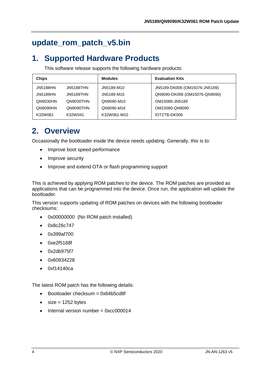## <span id="page-3-0"></span>**update\_rom\_patch\_v5.bin**

## <span id="page-3-1"></span>**1. Supported Hardware Products**

This software release supports the following hardware products:

| <b>Chips</b>                 | <b>Modules</b> | <b>Evaluation Kits</b>        |
|------------------------------|----------------|-------------------------------|
| <b>JN5188HN</b><br>JN5188THN | JN5189-M10     | JN5189-DK006 (OM15076-JN5189) |
| <b>JN5189HN</b><br>JN5189THN | JN5189-M16     | QN9090-DK006 (OM15076-QN9090) |
| QN9030HN<br>QN9030THN        | QN9090-M10     | OM15080-JN5189                |
| QN9090HN<br>QN9090THN        | QN9090-M16     | OM15080-QN9090                |
| K32W061<br>K32W041           | K32W061-M10    | IOTZTB-DK006                  |

## <span id="page-3-2"></span>**2. Overview**

Occasionally the bootloader inside the device needs updating. Generally, this is to:

- Improve boot speed performance
- Improve security
- Improve and extend OTA or flash programming support

This is achieved by applying ROM patches to the device. The ROM patches are provided as applications that can be programmed into the device. Once run, the application will update the bootloader.

This version supports updating of ROM patches on devices with the following bootloader checksums:

- 0x00000000 (No ROM patch installed)
- 0x8c26c747
- 0x399af700
- 0xe2f5168f
- 0x2db975f7
- 0x60934228
- 0xf14140ca

The latest ROM patch has the following details:

- Bootloader checksum = 0x64b5cd8f
- $\bullet$  size = 1252 bytes
- Internal version number = 0xcc000014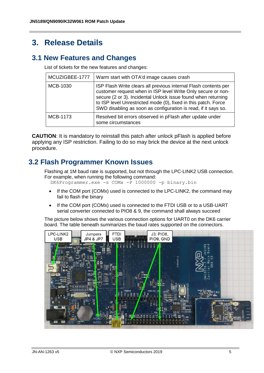### <span id="page-4-0"></span>**3. Release Details**

#### <span id="page-4-1"></span>**3.1 New Features and Changes**

List of tickets for the new features and changes:

| MCUZIGBEE-1777  | Warm start with OTA'd image causes crash                                                                                                                                                                                                                                                                                             |
|-----------------|--------------------------------------------------------------------------------------------------------------------------------------------------------------------------------------------------------------------------------------------------------------------------------------------------------------------------------------|
| <b>MCB-1030</b> | ISP Flash Write clears all previous internal Flash contents per<br>customer request when in ISP level Write Only secure or non-<br>secure (2 or 3). Incidental Unlock issue found when returning<br>to ISP level Unrestricted mode (0), fixed in this patch. Force<br>SWD disabling as soon as configuration is read, if it says so. |
| MCB-1173        | Resolved bit errors observed in pFlash after update under<br>some circumstances                                                                                                                                                                                                                                                      |

**CAUTION**: It is mandatory to reinstall this patch after unlock pFlash is applied before applying any ISP restriction. Failing to do so may brick the device at the next unlock procedure.

#### <span id="page-4-2"></span>**3.2 Flash Programmer Known Issues**

Flashing at 1M baud rate is supported, but not through the LPC-LINK2 USB connection. For example, when running the following command:

DK6Programmer.exe -s COMx -P 1000000 -p binary.bin

- If the COM port (COMx) used is connected to the LPC-LINK2, the command may fail to flash the binary
- If the COM port (COMx) used is connected to the FTDI USB or to a USB-UART serial converter connected to PIO8 & 9, the command shall always succeed

The picture below shows the various connection options for UART0 on the DK6 carrier board. The table beneath summarizes the baud rates supported on the connectors.

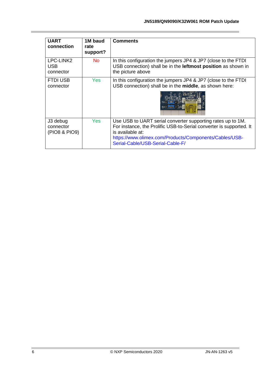| <b>UART</b><br>connection              | 1M baud<br>rate<br>support? | <b>Comments</b>                                                                                                                                                                                                                                      |
|----------------------------------------|-----------------------------|------------------------------------------------------------------------------------------------------------------------------------------------------------------------------------------------------------------------------------------------------|
| LPC-LINK2<br>USB.<br>connector         | No.                         | In this configuration the jumpers JP4 & JP7 (close to the FTDI<br>USB connection) shall be in the leftmost position as shown in<br>the picture above                                                                                                 |
| <b>FTDI USB</b><br>connector           | Yes:                        | In this configuration the jumpers JP4 & JP7 (close to the FTDI<br>USB connection) shall be in the middle, as shown here:                                                                                                                             |
| J3 debug<br>connector<br>(PIO8 & PIO9) | <b>Yes</b>                  | Use USB to UART serial converter supporting rates up to 1M.<br>For instance, the Prolific USB-to-Serial converter is supported. It<br>is available at:<br>https://www.olimex.com/Products/Components/Cables/USB-<br>Serial-Cable/USB-Serial-Cable-F/ |

i.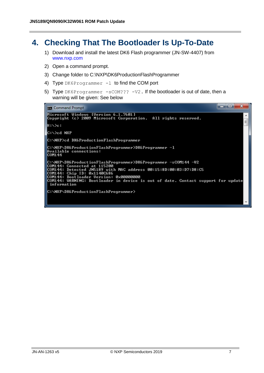### <span id="page-6-0"></span>**4. Checking That The Bootloader Is Up-To-Date**

- 1) Download and install the latest DK6 Flash programmer (JN-SW-4407) from [www.nxp.com](http://www.nxp.com/)
- 2) Open a command prompt.
- 3) Change folder to C:\NXP\DK6ProductionFlashProgrammer
- 4) Type DK6Programmer  $-1$  to find the COM port
- 5) Type DK6Programmer -sCOM??? -V2. If the bootloader is out of date, then a warning will be given: See below

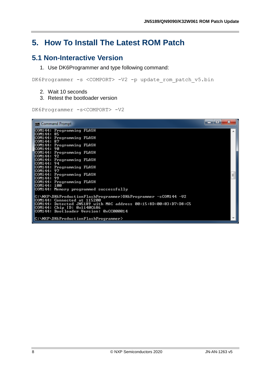## <span id="page-7-0"></span>**5. How To Install The Latest ROM Patch**

#### <span id="page-7-1"></span>**5.1 Non-Interactive Version**

1. Use DK6Programmer and type following command:

DK6Programmer -s <COMPORT> -V2 -p update rom patch v5.bin

- 2. Wait 10 seconds
- 3. Retest the bootloader version

DK6Programmer -s<COMPORT> -V2

| e<br><b>BER</b> Command Prompt                                                                             |   |
|------------------------------------------------------------------------------------------------------------|---|
| COM144: Programming FLASH<br>ICOM144: 85                                                                   |   |
| COM144: Programming FLASH<br>ICOM144: 87                                                                   |   |
| COM144: Programming FLASH<br>ICOM144: 90                                                                   |   |
| <b>COM144: Programming FLASH</b><br>ICOM144: 92                                                            |   |
| COM144: Programming FLASH<br>ICOM144:94                                                                    |   |
| COM144: Programming FLASH<br>ICOM144: 97                                                                   |   |
| COM144: Programming FLASH<br>ICOM144:99                                                                    | Ξ |
| COM144: Programming FLASH<br>100M144:100                                                                   |   |
| COM144: Memory programmed successfully                                                                     |   |
| C:\NXP\DK6ProductionFlashProgrammer>DK6Programmer -sC0M144 -U2<br>COM144: Connected at 115200              |   |
| COM144: Detected JN5189 with MAC address 00:15:8D:00:03:D7:D8:C5<br>$\textsf{COM144:}$ Chip ID: 0x1140C686 |   |
| COM144: Bootloader Version: 0xCC000014                                                                     |   |
| C:\NXP\DK6ProductionFlashProgrammer>                                                                       |   |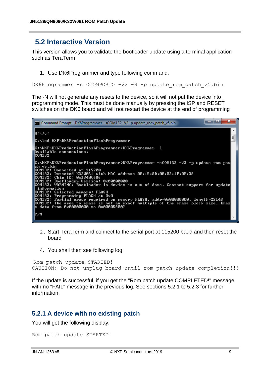#### <span id="page-8-0"></span>**5.2 Interactive Version**

This version allows you to validate the bootloader update using a terminal application such as TeraTerm

1. Use DK6Programmer and type following command:

DK6Programmer -s <COMPORT> -V2 -N -p update rom patch v5.bin

The -N will not generate any resets to the device, so it will not put the device into programming mode. This must be done manually by pressing the ISP and RESET switches on the DK6 board and will not restart the device at the end of programming



- 2. Start TeraTerm and connect to the serial port at 115200 baud and then reset the board
- 4. You shall then see following log:

```
Rom patch update STARTED!
CAUTION: Do not unplug board until rom patch update completion!!!
```
If the update is successful, if you get the "Rom patch update COMPLETED!" message with no "FAIL" message in the previous log. See sections 5.2.1 to 5.2.3 for further information.

#### <span id="page-8-1"></span>**5.2.1 A device with no existing patch**

You will get the following display:

```
Rom patch update STARTED!
```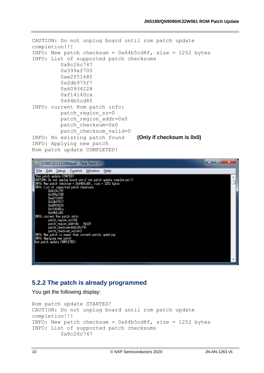```
CAUTION: Do not unplug board until rom patch update 
completion!!!
INFO: New patch checksum = 0x64b5cd8f, size = 1252 bytes
INFO: List of supported patch checksums
          0x8c26c747
          0x399af700
          0xe2f5168f
          0x2db975f7
          0x60934228
          0xf14140ca
          0x64b5cd8f
INFO: current Rom patch info:
          patch_region_sz=0
          patch_region_addr=0x0
          patch_checksum=0x0
          patch_checksum_valid=0
INFO: No existing patch found (Only if checksum is 0x0)
INFO: Applying new patch
Rom patch update COMPLETED!
```

| COM132:115200baud - Tera Term VT                                                                                                                                                                                             | E<br>х |
|------------------------------------------------------------------------------------------------------------------------------------------------------------------------------------------------------------------------------|--------|
| File:<br>Control Window<br>Edit<br><b>Help</b><br>- Setup                                                                                                                                                                    |        |
| "Rom patch update STARTED!<br>CAUTION: Do not unplug board until ron patch update completion!!!<br>INFO: New patch checksun = 0x64b5cd8f, size = 1252 bytes<br>INFO: List of supported patch checksuns<br>Dx8c26c747         |        |
| 0x399af700<br>Dxe2f5168f<br>0x2db975f7<br>0x60934228<br>Oxf14140ca<br>0x64b5cd8f<br>INFO: current Rom patch info:                                                                                                            |        |
| patch region sz=316<br>patch_region_addr=0x 9e119<br>patch_checksun=0x8c26c747<br>patch checksun valid=1<br>INFO: New patch is newer than current patch; updating<br>INFO: Applying new patch<br>Ron patch update COMPLETED! |        |
|                                                                                                                                                                                                                              |        |

#### <span id="page-9-0"></span>**5.2.2 The patch is already programmed**

You get the following display:

```
Rom patch update STARTED!
CAUTION: Do not unplug board until rom patch update 
completion!!!
INFO: New patch checksum = 0x64b5cd8f, size = 1252 bytes
INFO: List of supported patch checksums
          0x8c26c747
```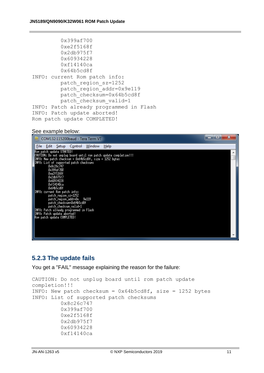| 0x399af700                              |
|-----------------------------------------|
| 0xe2f5168f                              |
| 0x2db975f7                              |
| 0x60934228                              |
| 0xf14140ca                              |
| 0x64b5cd8f                              |
| INFO: current Rom patch info:           |
| patch region sz=1252                    |
| patch region addr=0x9e119               |
| patch checksum=0x64b5cd8f               |
| patch checksum valid=1                  |
| INFO: Patch already programmed in Flash |
| INFO: Patch update aborted!             |
| Rom patch update COMPLETED!             |

#### See example below:



#### <span id="page-10-0"></span>**5.2.3 The update fails**

You get a "FAIL" message explaining the reason for the failure:

```
CAUTION: Do not unplug board until rom patch update 
completion!!!
INFO: New patch checksum = 0x64b5cd8f, size = 1252 bytes
INFO: List of supported patch checksums
          0x8c26c747
          0x399af700
          0xe2f5168f
          0x2db975f7
          0x60934228
          0xf14140ca
```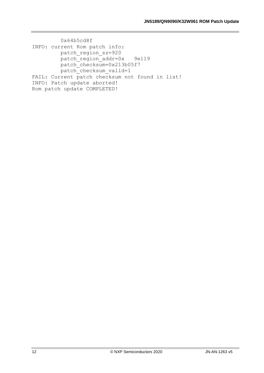0x64b5cd8f INFO: current Rom patch info: patch\_region\_sz=920 patch region addr=0x 9e119 patch\_checksum=0x213b05f7 patch checksum valid=1 FAIL: Current patch checksum not found in list! INFO: Patch update aborted! Rom patch update COMPLETED!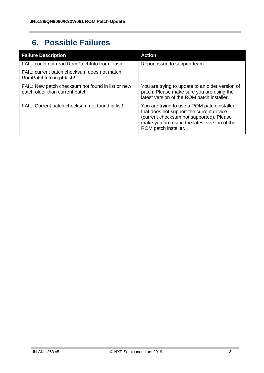## <span id="page-12-0"></span>**6. Possible Failures**

| <b>Failure Description</b>                                                          | <b>Action</b>                                                                                                                                                                                               |
|-------------------------------------------------------------------------------------|-------------------------------------------------------------------------------------------------------------------------------------------------------------------------------------------------------------|
| FAIL: could not read RomPatchInfo from Flash!                                       | Report issue to support team                                                                                                                                                                                |
| FAIL: current patch checksum does not match<br>RomPatchInfo in pFlash!              |                                                                                                                                                                                                             |
| FAIL: New patch checksum not found in list or new<br>patch older than current patch | You are trying to update to an older version of<br>patch. Please make sure you are using the<br>latest version of the ROM patch installer.                                                                  |
| FAIL: Current patch checksum not found in list!                                     | You are trying to use a ROM patch installer<br>that does not support the current device<br>(current checksum not supported). Please<br>make you are using the latest version of the<br>ROM patch installer. |